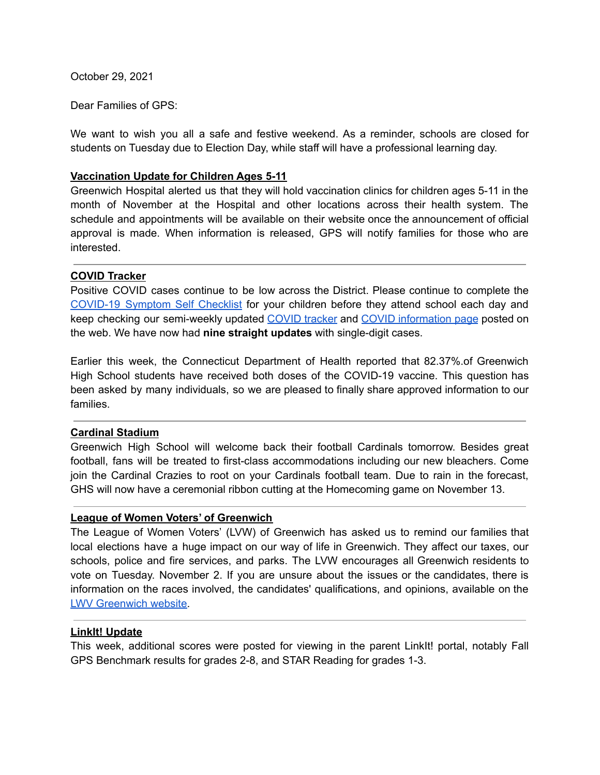October 29, 2021

Dear Families of GPS:

We want to wish you all a safe and festive weekend. As a reminder, schools are closed for students on Tuesday due to Election Day, while staff will have a professional learning day.

# **Vaccination Update for Children Ages 5-11**

Greenwich Hospital alerted us that they will hold vaccination clinics for children ages 5-11 in the month of November at the Hospital and other locations across their health system. The schedule and appointments will be available on their website once the announcement of official approval is made. When information is released, GPS will notify families for those who are interested.

# **COVID Tracker**

Positive COVID cases continue to be low across the District. Please continue to complete the [COVID-19](https://resources.finalsite.net/images/v1600868987/greenwich/vrdoomnnyw1oq6vnh4vp/GPSCOVIDSelfChecklistENGLISH-2.pdf) Symptom Self Checklist for your children before they attend school each day and keep checking our semi-weekly updated [COVID](https://www.greenwichschools.org/teaching-learning/student-support-services/health-services/covid-19/covid-19-tracker-2021-2022-school-year) tracker and COVID [information](https://www.greenwichschools.org/teaching-learning/student-support-services/health-services/covid-19) page posted on the web. We have now had **nine straight updates** with single-digit cases.

Earlier this week, the Connecticut Department of Health reported that 82.37%.of Greenwich High School students have received both doses of the COVID-19 vaccine. This question has been asked by many individuals, so we are pleased to finally share approved information to our families.

# **Cardinal Stadium**

Greenwich High School will welcome back their football Cardinals tomorrow. Besides great football, fans will be treated to first-class accommodations including our new bleachers. Come join the Cardinal Crazies to root on your Cardinals football team. Due to rain in the forecast, GHS will now have a ceremonial ribbon cutting at the Homecoming game on November 13.

# **League of Women Voters' of Greenwich**

The League of Women Voters' (LVW) of Greenwich has asked us to remind our families that local elections have a huge impact on our way of life in Greenwich. They affect our taxes, our schools, police and fire services, and parks. The LVW encourages all Greenwich residents to vote on Tuesday. November 2. If you are unsure about the issues or the candidates, there is information on the races involved, the candidates' qualifications, and opinions, available on the LWV [Greenwich](https://www.lwvgreenwich.org/) website.

# **LinkIt! Update**

This week, additional scores were posted for viewing in the parent LinkIt! portal, notably Fall GPS Benchmark results for grades 2-8, and STAR Reading for grades 1-3.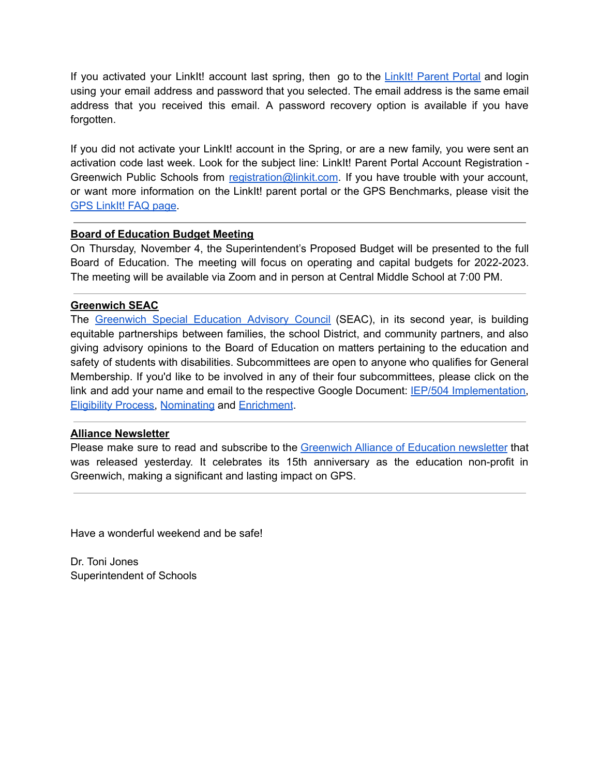If you activated your LinkIt! account last spring, then go to the LinkIt! [Parent](https://greenwich.linkit.com/parent) Portal and login using your email address and password that you selected. The email address is the same email address that you received this email. A password recovery option is available if you have forgotten.

If you did not activate your LinkIt! account in the Spring, or are a new family, you were sent an activation code last week. Look for the subject line: LinkIt! Parent Portal Account Registration - Greenwich Public Schools from registration@linkit.com. If you have trouble with your account, or want more information on the LinkIt! parent portal or the GPS Benchmarks, please visit the GPS [LinkIt!](https://www.greenwichschools.org/district-information/parent-resources/gpslinkit-parent-portal-and-benchmark-faq) FAQ page.

# **Board of Education Budget Meeting**

On Thursday, November 4, the Superintendent's Proposed Budget will be presented to the full Board of Education. The meeting will focus on operating and capital budgets for 2022-2023. The meeting will be available via Zoom and in person at Central Middle School at 7:00 PM.

# **Greenwich SEAC**

The [Greenwich](https://www.greenwichschools.org/teaching-learning/special-education/special-education-advisory-council-seac) Special Education Advisory Council (SEAC), in its second year, is building equitable partnerships between families, the school District, and community partners, and also giving advisory opinions to the Board of Education on matters pertaining to the education and safety of students with disabilities. Subcommittees are open to anyone who qualifies for General Membership. If you'd like to be involved in any of their four subcommittees, please click on the link and add your name and email to the respective Google Document: IEP/504 [Implementation,](https://docs.google.com/document/d/1VU1cP3DvrJT6zQOVp6pwV4el3uKA878HztZpRf76_C0/edit?usp=sharing) [Eligibility](https://docs.google.com/document/d/11W8eqLeZxr4skGehexAJYUf1Qo2n2sXJJdZAaGNkVWo/edit?usp=sharing) Process, [Nominating](https://docs.google.com/document/d/12I0PYYOofTrosnAXwHJMYEsxjK_rnlo1lKuLy3Kl104/edit?usp=sharing) and [Enrichment](https://docs.google.com/document/d/1EP7_h4ZeSlix0ZGREd3clDZ-vr8XfChH-NpOcrExgbs/edit?usp=sharing).

# **Alliance Newsletter**

Please make sure to read and subscribe to the [Greenwich](https://greenwichalliance.org/civicrm/mailing/view/?reset=1&id=384&cid=13458&cs=dfc366554352158df242c171d27bf104_1635443324_168) Alliance of Education newsletter that was released yesterday. It celebrates its 15th anniversary as the education non-profit in Greenwich, making a significant and lasting impact on GPS.

Have a wonderful weekend and be safe!

Dr. Toni Jones Superintendent of Schools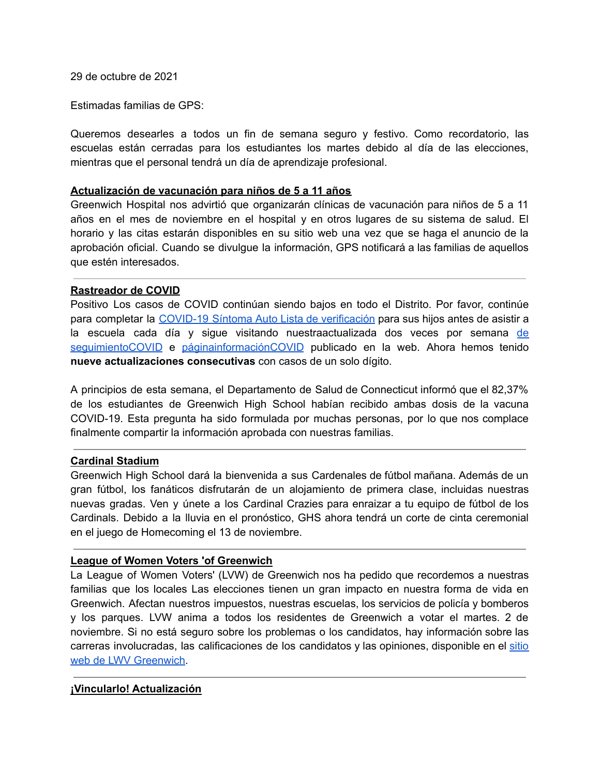29 de octubre de 2021

Estimadas familias de GPS:

Queremos desearles a todos un fin de semana seguro y festivo. Como recordatorio, las escuelas están cerradas para los estudiantes los martes debido al día de las elecciones, mientras que el personal tendrá un día de aprendizaje profesional.

#### **Actualización de vacunación para niños de 5 a 11 años**

Greenwich Hospital nos advirtió que organizarán clínicas de vacunación para niños de 5 a 11 años en el mes de noviembre en el hospital y en otros lugares de su sistema de salud. El horario y las citas estarán disponibles en su sitio web una vez que se haga el anuncio de la aprobación oficial. Cuando se divulgue la información, GPS notificará a las familias de aquellos que estén interesados.

# **Rastreador de COVID**

Positivo Los casos de COVID continúan siendo bajos en todo el Distrito. Por favor, continúe para completar la COVID-19 Síntoma Auto Lista de [verificación](https://resources.finalsite.net/images/v1600868987/greenwich/vrdoomnnyw1oq6vnh4vp/GPSCOVIDSelfChecklistENGLISH-2.pdf) para sus hijos antes de asistir a la escuela cada día y sigue visitando nuestraactualizada dos veces por semana [de](https://www.greenwichschools.org/teaching-learning/student-support-services/health-services/covid-19/covid-19-tracker-2021-2022-school-year) [seguimientoCOVID](https://www.greenwichschools.org/teaching-learning/student-support-services/health-services/covid-19/covid-19-tracker-2021-2022-school-year) e [páginainformaciónCOVID](https://www.greenwichschools.org/teaching-learning/student-support-services/health-services/covid-19) publicado en la web. Ahora hemos tenido **nueve actualizaciones consecutivas** con casos de un solo dígito.

A principios de esta semana, el Departamento de Salud de Connecticut informó que el 82,37% de los estudiantes de Greenwich High School habían recibido ambas dosis de la vacuna COVID-19. Esta pregunta ha sido formulada por muchas personas, por lo que nos complace finalmente compartir la información aprobada con nuestras familias.

# **Cardinal Stadium**

Greenwich High School dará la bienvenida a sus Cardenales de fútbol mañana. Además de un gran fútbol, los fanáticos disfrutarán de un alojamiento de primera clase, incluidas nuestras nuevas gradas. Ven y únete a los Cardinal Crazies para enraizar a tu equipo de fútbol de los Cardinals. Debido a la lluvia en el pronóstico, GHS ahora tendrá un corte de cinta ceremonial en el juego de Homecoming el 13 de noviembre.

# **League of Women Voters 'of Greenwich**

La League of Women Voters' (LVW) de Greenwich nos ha pedido que recordemos a nuestras familias que los locales Las elecciones tienen un gran impacto en nuestra forma de vida en Greenwich. Afectan nuestros impuestos, nuestras escuelas, los servicios de policía y bomberos y los parques. LVW anima a todos los residentes de Greenwich a votar el martes. 2 de noviembre. Si no está seguro sobre los problemas o los candidatos, hay información sobre las carreras involucradas, las calificaciones de los candidatos y las opiniones, disponible en el [sitio](https://www.lwvgreenwich.org/) web de LWV [Greenwich](https://www.lwvgreenwich.org/).

# **¡Vincularlo! Actualización**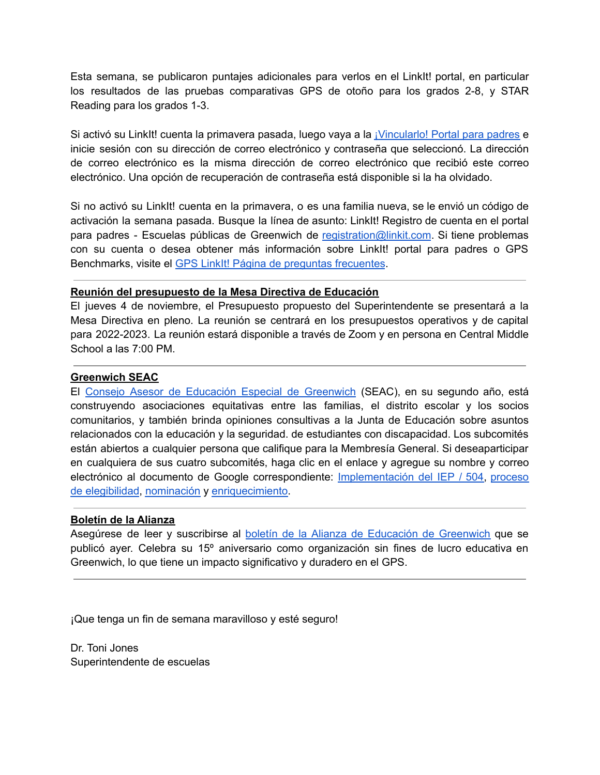Esta semana, se publicaron puntajes adicionales para verlos en el LinkIt! portal, en particular los resultados de las pruebas comparativas GPS de otoño para los grados 2-8, y STAR Reading para los grados 1-3.

Si activó su LinkIt! cuenta la primavera pasada, luego vaya a la *[¡Vincularlo!](https://greenwich.linkit.com/parent) Portal para padres* e inicie sesión con su dirección de correo electrónico y contraseña que seleccionó. La dirección de correo electrónico es la misma dirección de correo electrónico que recibió este correo electrónico. Una opción de recuperación de contraseña está disponible si la ha olvidado.

Si no activó su LinkIt! cuenta en la primavera, o es una familia nueva, se le envió un código de activación la semana pasada. Busque la línea de asunto: LinkIt! Registro de cuenta en el portal para padres - Escuelas públicas de Greenwich de registration@linkit.com. Si tiene problemas con su cuenta o desea obtener más información sobre LinkIt! portal para padres o GPS Benchmarks, visite el GPS LinkIt! Página de preguntas [frecuentes](https://www.greenwichschools.org/district-information/parent-resources/gpslinkit-parent-portal-and-benchmark-faq).

# **Reunión del presupuesto de la Mesa Directiva de Educación**

El jueves 4 de noviembre, el Presupuesto propuesto del Superintendente se presentará a la Mesa Directiva en pleno. La reunión se centrará en los presupuestos operativos y de capital para 2022-2023. La reunión estará disponible a través de Zoom y en persona en Central Middle School a las 7:00 PM.

# **Greenwich SEAC**

El Consejo Asesor de Educación Especial de [Greenwich](https://www.greenwichschools.org/teaching-learning/special-education/special-education-advisory-council-seac) (SEAC), en su segundo año, está construyendo asociaciones equitativas entre las familias, el distrito escolar y los socios comunitarios, y también brinda opiniones consultivas a la Junta de Educación sobre asuntos relacionados con la educación y la seguridad. de estudiantes con discapacidad. Los subcomités están abiertos a cualquier persona que califique para la Membresía General. Si deseaparticipar en cualquiera de sus cuatro subcomités, haga clic en el enlace y agregue su nombre y correo electrónico al documento de Google correspondiente: [Implementación](https://docs.google.com/document/d/1VU1cP3DvrJT6zQOVp6pwV4el3uKA878HztZpRf76_C0/edit?usp=sharing) del IEP / 504, [proceso](https://docs.google.com/document/d/11W8eqLeZxr4skGehexAJYUf1Qo2n2sXJJdZAaGNkVWo/edit?usp=sharing) de [elegibilidad](https://docs.google.com/document/d/11W8eqLeZxr4skGehexAJYUf1Qo2n2sXJJdZAaGNkVWo/edit?usp=sharing), [nominación](https://docs.google.com/document/d/12I0PYYOofTrosnAXwHJMYEsxjK_rnlo1lKuLy3Kl104/edit?usp=sharing) y [enriquecimiento.](https://docs.google.com/document/d/1EP7_h4ZeSlix0ZGREd3clDZ-vr8XfChH-NpOcrExgbs/edit?usp=sharing)

# **Boletín de la Alianza**

Asegúrese de leer y suscribirse al boletín de la Alianza de Educación de [Greenwich](https://greenwichalliance.org/civicrm/mailing/view/?reset=1&id=384&cid=13458&cs=dfc366554352158df242c171d27bf104_1635443324_168) que se publicó ayer. Celebra su 15º aniversario como organización sin fines de lucro educativa en Greenwich, lo que tiene un impacto significativo y duradero en el GPS.

¡Que tenga un fin de semana maravilloso y esté seguro!

Dr. Toni Jones Superintendente de escuelas